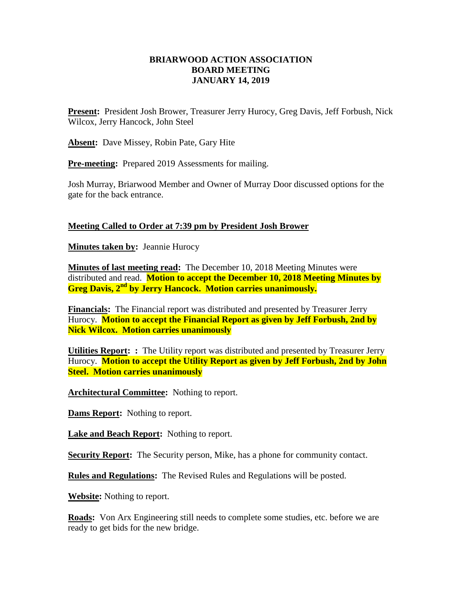## **BRIARWOOD ACTION ASSOCIATION BOARD MEETING JANUARY 14, 2019**

**Present:** President Josh Brower, Treasurer Jerry Hurocy, Greg Davis, Jeff Forbush, Nick Wilcox, Jerry Hancock, John Steel

**Absent:** Dave Missey, Robin Pate, Gary Hite

**Pre-meeting:** Prepared 2019 Assessments for mailing.

Josh Murray, Briarwood Member and Owner of Murray Door discussed options for the gate for the back entrance.

## **Meeting Called to Order at 7:39 pm by President Josh Brower**

**Minutes taken by:** Jeannie Hurocy

**Minutes of last meeting read:** The December 10, 2018 Meeting Minutes were distributed and read. **Motion to accept the December 10, 2018 Meeting Minutes by Greg Davis, 2nd by Jerry Hancock. Motion carries unanimously.**

**Financials:** The Financial report was distributed and presented by Treasurer Jerry Hurocy. **Motion to accept the Financial Report as given by Jeff Forbush, 2nd by Nick Wilcox. Motion carries unanimously** 

**Utilities Report: :** The Utility report was distributed and presented by Treasurer Jerry Hurocy. **Motion to accept the Utility Report as given by Jeff Forbush, 2nd by John Steel. Motion carries unanimously** 

**Architectural Committee:** Nothing to report.

**Dams Report:** Nothing to report.

**Lake and Beach Report:** Nothing to report.

**Security Report:** The Security person, Mike, has a phone for community contact.

**Rules and Regulations:** The Revised Rules and Regulations will be posted.

**Website:** Nothing to report.

**Roads:** Von Arx Engineering still needs to complete some studies, etc. before we are ready to get bids for the new bridge.